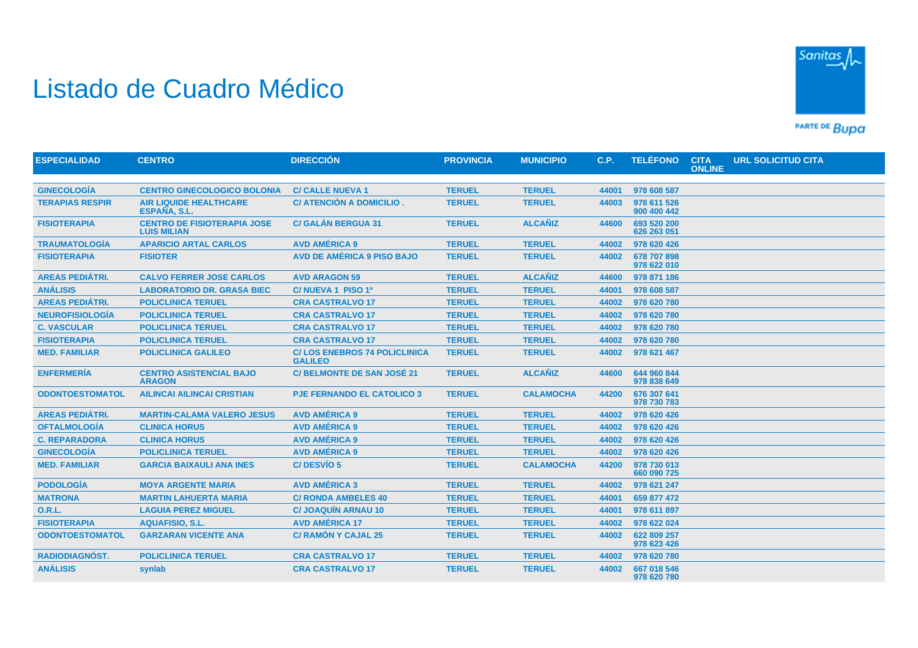

## Listado de Cuadro Médico

PARTE DE BUDA

| <b>ESPECIALIDAD</b>    | <b>CENTRO</b>                                            | <b>DIRECCIÓN</b>                                      | <b>PROVINCIA</b> | <b>MUNICIPIO</b> | C.P.  | <b>TELÉFONO</b>            | <b>CITA</b><br><b>ONLINE</b> | <b>URL SOLICITUD CITA</b> |  |
|------------------------|----------------------------------------------------------|-------------------------------------------------------|------------------|------------------|-------|----------------------------|------------------------------|---------------------------|--|
|                        |                                                          |                                                       |                  |                  |       |                            |                              |                           |  |
| <b>GINECOLOGÍA</b>     | <b>CENTRO GINECOLOGICO BOLONIA</b>                       | <b>C/ CALLE NUEVA 1</b>                               | <b>TERUEL</b>    | <b>TERUEL</b>    | 44001 | 978 608 587                |                              |                           |  |
| <b>TERAPIAS RESPIR</b> | <b>AIR LIQUIDE HEALTHCARE</b><br>ESPAÑA, S.L.            | C/ ATENCIÓN A DOMICILIO.                              | <b>TERUEL</b>    | <b>TERUEL</b>    | 44003 | 978 611 526<br>900 400 442 |                              |                           |  |
| <b>FISIOTERAPIA</b>    | <b>CENTRO DE FISIOTERAPIA JOSE</b><br><b>LUIS MILIAN</b> | <b>C/ GALÁN BERGUA 31</b>                             | <b>TERUEL</b>    | <b>ALCAÑIZ</b>   | 44600 | 693 520 200<br>626 263 051 |                              |                           |  |
| <b>TRAUMATOLOGÍA</b>   | <b>APARICIO ARTAL CARLOS</b>                             | <b>AVD AMÉRICA 9</b>                                  | <b>TERUEL</b>    | <b>TERUEL</b>    | 44002 | 978 620 426                |                              |                           |  |
| <b>FISIOTERAPIA</b>    | <b>FISIOTER</b>                                          | <b>AVD DE AMÉRICA 9 PISO BAJO</b>                     | <b>TERUEL</b>    | <b>TERUEL</b>    | 44002 | 678 707 898<br>978 622 010 |                              |                           |  |
| <b>AREAS PEDIÁTRI.</b> | <b>CALVO FERRER JOSE CARLOS</b>                          | <b>AVD ARAGON 59</b>                                  | <b>TERUEL</b>    | <b>ALCAÑIZ</b>   | 44600 | 978 871 186                |                              |                           |  |
| <b>ANÁLISIS</b>        | <b>LABORATORIO DR. GRASA BIEC</b>                        | C/NUEVA 1 PISO 1º                                     | <b>TERUEL</b>    | <b>TERUEL</b>    | 44001 | 978 608 587                |                              |                           |  |
| <b>AREAS PEDIÁTRI.</b> | <b>POLICLINICA TERUEL</b>                                | <b>CRA CASTRALVO 17</b>                               | <b>TERUEL</b>    | <b>TERUEL</b>    | 44002 | 978 620 780                |                              |                           |  |
| <b>NEUROFISIOLOGÍA</b> | <b>POLICLINICA TERUEL</b>                                | <b>CRA CASTRALVO 17</b>                               | <b>TERUEL</b>    | <b>TERUEL</b>    | 44002 | 978 620 780                |                              |                           |  |
| <b>C. VASCULAR</b>     | <b>POLICLINICA TERUEL</b>                                | <b>CRA CASTRALVO 17</b>                               | <b>TERUEL</b>    | <b>TERUEL</b>    | 44002 | 978 620 780                |                              |                           |  |
| <b>FISIOTERAPIA</b>    | <b>POLICLINICA TERUEL</b>                                | <b>CRA CASTRALVO 17</b>                               | <b>TERUEL</b>    | <b>TERUEL</b>    | 44002 | 978 620 780                |                              |                           |  |
| <b>MED. FAMILIAR</b>   | <b>POLICLINICA GALILEO</b>                               | <b>C/LOS ENEBROS 74 POLICLINICA</b><br><b>GALILEO</b> | <b>TERUEL</b>    | <b>TERUEL</b>    | 44002 | 978 621 467                |                              |                           |  |
| <b>ENFERMERÍA</b>      | <b>CENTRO ASISTENCIAL BAJO</b><br><b>ARAGON</b>          | <b>C/BELMONTE DE SAN JOSÉ 21</b>                      | <b>TERUEL</b>    | <b>ALCAÑIZ</b>   | 44600 | 644 960 844<br>978 838 649 |                              |                           |  |
| <b>ODONTOESTOMATOL</b> | <b>AILINCAI AILINCAI CRISTIAN</b>                        | <b>PJE FERNANDO EL CATOLICO 3</b>                     | <b>TERUEL</b>    | <b>CALAMOCHA</b> | 44200 | 676 307 641<br>978 730 783 |                              |                           |  |
| <b>AREAS PEDIÁTRI.</b> | <b>MARTIN-CALAMA VALERO JESUS</b>                        | <b>AVD AMÉRICA 9</b>                                  | <b>TERUEL</b>    | <b>TERUEL</b>    | 44002 | 978 620 426                |                              |                           |  |
| <b>OFTALMOLOGÍA</b>    | <b>CLINICA HORUS</b>                                     | <b>AVD AMÉRICA 9</b>                                  | <b>TERUEL</b>    | <b>TERUEL</b>    | 44002 | 978 620 426                |                              |                           |  |
| <b>C. REPARADORA</b>   | <b>CLINICA HORUS</b>                                     | <b>AVD AMÉRICA 9</b>                                  | <b>TERUEL</b>    | <b>TERUEL</b>    | 44002 | 978 620 426                |                              |                           |  |
| <b>GINECOLOGÍA</b>     | <b>POLICLINICA TERUEL</b>                                | <b>AVD AMÉRICA 9</b>                                  | <b>TERUEL</b>    | <b>TERUEL</b>    | 44002 | 978 620 426                |                              |                           |  |
| <b>MED. FAMILIAR</b>   | <b>GARCIA BAIXAULI ANA INES</b>                          | C/DESVÍO 5                                            | <b>TERUEL</b>    | <b>CALAMOCHA</b> | 44200 | 978 730 013<br>660 090 725 |                              |                           |  |
| <b>PODOLOGÍA</b>       | <b>MOYA ARGENTE MARIA</b>                                | <b>AVD AMÉRICA 3</b>                                  | <b>TERUEL</b>    | <b>TERUEL</b>    | 44002 | 978 621 247                |                              |                           |  |
| <b>MATRONA</b>         | <b>MARTIN LAHUERTA MARIA</b>                             | <b>C/ RONDA AMBELES 40</b>                            | <b>TERUEL</b>    | <b>TERUEL</b>    | 44001 | 659 877 472                |                              |                           |  |
| <b>O.R.L.</b>          | <b>LAGUIA PEREZ MIGUEL</b>                               | <b>C/JOAQUÍN ARNAU 10</b>                             | <b>TERUEL</b>    | <b>TERUEL</b>    | 44001 | 978 611 897                |                              |                           |  |
| <b>FISIOTERAPIA</b>    | <b>AQUAFISIO, S.L.</b>                                   | <b>AVD AMÉRICA 17</b>                                 | <b>TERUEL</b>    | <b>TERUEL</b>    | 44002 | 978 622 024                |                              |                           |  |
| <b>ODONTOESTOMATOL</b> | <b>GARZARAN VICENTE ANA</b>                              | <b>C/ RAMÓN Y CAJAL 25</b>                            | <b>TERUEL</b>    | <b>TERUEL</b>    | 44002 | 622 809 257<br>978 623 426 |                              |                           |  |
| <b>RADIODIAGNÓST.</b>  | <b>POLICLINICA TERUEL</b>                                | <b>CRA CASTRALVO 17</b>                               | <b>TERUEL</b>    | <b>TERUEL</b>    | 44002 | 978 620 780                |                              |                           |  |
| <b>ANÁLISIS</b>        | synlab                                                   | <b>CRA CASTRALVO 17</b>                               | <b>TERUEL</b>    | <b>TERUEL</b>    | 44002 | 667 018 546<br>978 620 780 |                              |                           |  |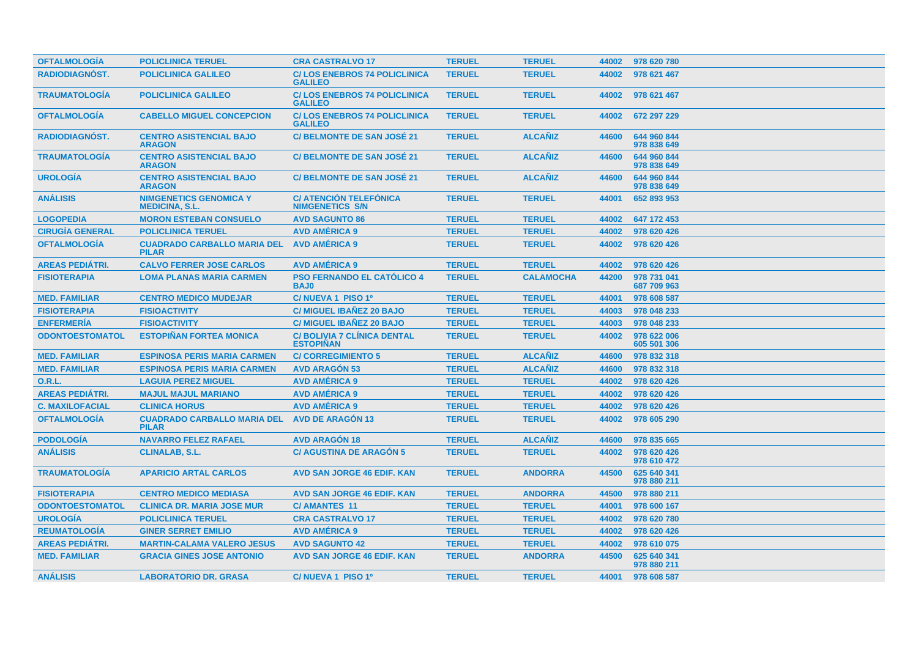| <b>OFTALMOLOGIA</b>    | <b>POLICLINICA TERUEL</b>                              | <b>CRA CASTRALVO 17</b>                                 | <b>TERUEL</b> | <b>TERUEL</b>    |       | 44002 978 620 780          |
|------------------------|--------------------------------------------------------|---------------------------------------------------------|---------------|------------------|-------|----------------------------|
| <b>RADIODIAGNÓST.</b>  | <b>POLICLINICA GALILEO</b>                             | <b>C/LOS ENEBROS 74 POLICLINICA</b><br><b>GALILEO</b>   | <b>TERUEL</b> | <b>TERUEL</b>    | 44002 | 978 621 467                |
| <b>TRAUMATOLOGÍA</b>   | <b>POLICLINICA GALILEO</b>                             | <b>C/LOS ENEBROS 74 POLICLINICA</b><br><b>GALILEO</b>   | <b>TERUEL</b> | <b>TERUEL</b>    | 44002 | 978 621 467                |
| <b>OFTALMOLOGÍA</b>    | <b>CABELLO MIGUEL CONCEPCION</b>                       | <b>C/LOS ENEBROS 74 POLICLINICA</b><br><b>GALILEO</b>   | <b>TERUEL</b> | <b>TERUEL</b>    | 44002 | 672 297 229                |
| <b>RADIODIAGNOST.</b>  | <b>CENTRO ASISTENCIAL BAJO</b><br><b>ARAGON</b>        | <b>C/BELMONTE DE SAN JOSÉ 21</b>                        | <b>TERUEL</b> | <b>ALCAÑIZ</b>   | 44600 | 644 960 844<br>978 838 649 |
| <b>TRAUMATOLOGIA</b>   | <b>CENTRO ASISTENCIAL BAJO</b><br><b>ARAGON</b>        | <b>C/BELMONTE DE SAN JOSÉ 21</b>                        | <b>TERUEL</b> | <b>ALCAÑIZ</b>   | 44600 | 644 960 844<br>978 838 649 |
| <b>UROLOGÍA</b>        | <b>CENTRO ASISTENCIAL BAJO</b><br><b>ARAGON</b>        | <b>C/BELMONTE DE SAN JOSÉ 21</b>                        | <b>TERUEL</b> | <b>ALCAÑIZ</b>   | 44600 | 644 960 844<br>978 838 649 |
| <b>ANÁLISIS</b>        | <b>NIMGENETICS GENOMICA Y</b><br><b>MEDICINA, S.L.</b> | <b>C/ ATENCIÓN TELEFÓNICA</b><br><b>NIMGENETICS S/N</b> | <b>TERUEL</b> | <b>TERUEL</b>    | 44001 | 652 893 953                |
| <b>LOGOPEDIA</b>       | <b>MORON ESTEBAN CONSUELO</b>                          | <b>AVD SAGUNTO 86</b>                                   | <b>TERUEL</b> | <b>TERUEL</b>    | 44002 | 647 172 453                |
| <b>CIRUGÍA GENERAL</b> | <b>POLICLINICA TERUEL</b>                              | <b>AVD AMÉRICA 9</b>                                    | <b>TERUEL</b> | <b>TERUEL</b>    | 44002 | 978 620 426                |
| <b>OFTALMOLOGÍA</b>    | <b>CUADRADO CARBALLO MARIA DEL</b><br><b>PILAR</b>     | <b>AVD AMÉRICA 9</b>                                    | <b>TERUEL</b> | <b>TERUEL</b>    | 44002 | 978 620 426                |
| <b>AREAS PEDIÁTRI.</b> | <b>CALVO FERRER JOSE CARLOS</b>                        | <b>AVD AMÉRICA 9</b>                                    | <b>TERUEL</b> | <b>TERUEL</b>    | 44002 | 978 620 426                |
| <b>FISIOTERAPIA</b>    | <b>LOMA PLANAS MARIA CARMEN</b>                        | <b>PSO FERNANDO EL CATÓLICO 4</b><br><b>BAJ0</b>        | <b>TERUEL</b> | <b>CALAMOCHA</b> | 44200 | 978 731 041<br>687 709 963 |
| <b>MED. FAMILIAR</b>   | <b>CENTRO MEDICO MUDEJAR</b>                           | C/NUEVA 1 PISO 1º                                       | <b>TERUEL</b> | <b>TERUEL</b>    | 44001 | 978 608 587                |
| <b>FISIOTERAPIA</b>    | <b>FISIOACTIVITY</b>                                   | <b>C/ MIGUEL IBANEZ 20 BAJO</b>                         | <b>TERUEL</b> | <b>TERUEL</b>    | 44003 | 978 048 233                |
| <b>ENFERMERIA</b>      | <b>FISIOACTIVITY</b>                                   | <b>C/ MIGUEL IBAÑEZ 20 BAJO</b>                         | <b>TERUEL</b> | <b>TERUEL</b>    | 44003 | 978 048 233                |
| <b>ODONTOESTOMATOL</b> | <b>ESTOPIÑAN FORTEA MONICA</b>                         | <b>C/ BOLIVIA 7 CLINICA DENTAL</b><br><b>ESTOPIÑAN</b>  | <b>TERUEL</b> | <b>TERUEL</b>    | 44002 | 978 622 006<br>605 501 306 |
| <b>MED. FAMILIAR</b>   | <b>ESPINOSA PERIS MARIA CARMEN</b>                     | <b>C/CORREGIMIENTO 5</b>                                | <b>TERUEL</b> | <b>ALCAÑIZ</b>   | 44600 | 978 832 318                |
| <b>MED. FAMILIAR</b>   | <b>ESPINOSA PERIS MARIA CARMEN</b>                     | <b>AVD ARAGÓN 53</b>                                    | <b>TERUEL</b> | <b>ALCAÑIZ</b>   | 44600 | 978 832 318                |
| <b>O.R.L.</b>          | <b>LAGUIA PEREZ MIGUEL</b>                             | <b>AVD AMÉRICA 9</b>                                    | <b>TERUEL</b> | <b>TERUEL</b>    | 44002 | 978 620 426                |
| <b>AREAS PEDIÁTRI.</b> | <b>MAJUL MAJUL MARIANO</b>                             | <b>AVD AMÉRICA 9</b>                                    | <b>TERUEL</b> | <b>TERUEL</b>    | 44002 | 978 620 426                |
| <b>C. MAXILOFACIAL</b> | <b>CLINICA HORUS</b>                                   | <b>AVD AMÉRICA 9</b>                                    | <b>TERUEL</b> | <b>TERUEL</b>    | 44002 | 978 620 426                |
| <b>OFTALMOLOGÍA</b>    | <b>CUADRADO CARBALLO MARIA DEL</b><br><b>PILAR</b>     | <b>AVD DE ARAGÓN 13</b>                                 | <b>TERUEL</b> | <b>TERUEL</b>    | 44002 | 978 605 290                |
| <b>PODOLOGÍA</b>       | <b>NAVARRO FELEZ RAFAEL</b>                            | <b>AVD ARAGON 18</b>                                    | <b>TERUEL</b> | <b>ALCAÑIZ</b>   | 44600 | 978 835 665                |
| <b>ANÁLISIS</b>        | <b>CLINALAB, S.L.</b>                                  | <b>C/ AGUSTINA DE ARAGÓN 5</b>                          | <b>TERUEL</b> | <b>TERUEL</b>    | 44002 | 978 620 426<br>978 610 472 |
| <b>TRAUMATOLOGÍA</b>   | <b>APARICIO ARTAL CARLOS</b>                           | <b>AVD SAN JORGE 46 EDIF. KAN</b>                       | <b>TERUEL</b> | <b>ANDORRA</b>   | 44500 | 625 640 341<br>978 880 211 |
| <b>FISIOTERAPIA</b>    | <b>CENTRO MEDICO MEDIASA</b>                           | <b>AVD SAN JORGE 46 EDIF. KAN</b>                       | <b>TERUEL</b> | <b>ANDORRA</b>   | 44500 | 978 880 211                |
| <b>ODONTOESTOMATOL</b> | <b>CLINICA DR. MARIA JOSE MUR</b>                      | <b>C/ AMANTES 11</b>                                    | <b>TERUEL</b> | <b>TERUEL</b>    | 44001 | 978 600 167                |
| <b>UROLOGÍA</b>        | <b>POLICLINICA TERUEL</b>                              | <b>CRA CASTRALVO 17</b>                                 | <b>TERUEL</b> | <b>TERUEL</b>    | 44002 | 978 620 780                |
| <b>REUMATOLOGIA</b>    | <b>GINER SERRET EMILIO</b>                             | <b>AVD AMERICA 9</b>                                    | <b>TERUEL</b> | <b>TERUEL</b>    | 44002 | 978 620 426                |
| <b>AREAS PEDIÁTRI.</b> | <b>MARTIN-CALAMA VALERO JESUS</b>                      | <b>AVD SAGUNTO 42</b>                                   | <b>TERUEL</b> | <b>TERUEL</b>    | 44002 | 978 610 075                |
| <b>MED. FAMILIAR</b>   | <b>GRACIA GINES JOSE ANTONIO</b>                       | <b>AVD SAN JORGE 46 EDIF. KAN</b>                       | <b>TERUEL</b> | <b>ANDORRA</b>   | 44500 | 625 640 341<br>978 880 211 |
| <b>ANÁLISIS</b>        | <b>LABORATORIO DR. GRASA</b>                           | C/NUEVA 1 PISO 1º                                       | <b>TERUEL</b> | <b>TERUEL</b>    | 44001 | 978 608 587                |
|                        |                                                        |                                                         |               |                  |       |                            |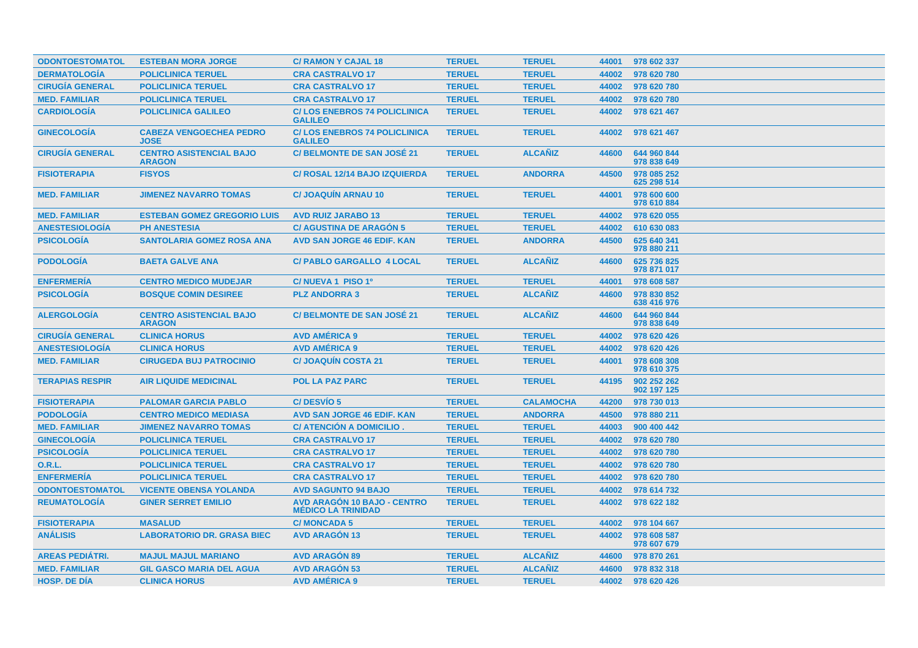| <b>ODONTOESTOMATOL</b> | <b>ESTEBAN MORA JORGE</b>                       | <b>C/ RAMON Y CAJAL 18</b>                                      | <b>TERUEL</b> | <b>TERUEL</b>    | 44001 | 978 602 337                |
|------------------------|-------------------------------------------------|-----------------------------------------------------------------|---------------|------------------|-------|----------------------------|
| <b>DERMATOLOGÍA</b>    | <b>POLICLINICA TERUEL</b>                       | <b>CRA CASTRALVO 17</b>                                         | <b>TERUEL</b> | <b>TERUEL</b>    | 44002 | 978 620 780                |
| <b>CIRUGÍA GENERAL</b> | <b>POLICLINICA TERUEL</b>                       | <b>CRA CASTRALVO 17</b>                                         | <b>TERUEL</b> | <b>TERUEL</b>    | 44002 | 978 620 780                |
| <b>MED. FAMILIAR</b>   | <b>POLICLINICA TERUEL</b>                       | <b>CRA CASTRALVO 17</b>                                         | <b>TERUEL</b> | <b>TERUEL</b>    | 44002 | 978 620 780                |
| <b>CARDIOLOGÍA</b>     | <b>POLICLINICA GALILEO</b>                      | <b>C/LOS ENEBROS 74 POLICLINICA</b><br><b>GALILEO</b>           | <b>TERUEL</b> | <b>TERUEL</b>    | 44002 | 978 621 467                |
| <b>GINECOLOGÍA</b>     | <b>CABEZA VENGOECHEA PEDRO</b><br><b>JOSE</b>   | <b>C/LOS ENEBROS 74 POLICLINICA</b><br><b>GALILEO</b>           | <b>TERUEL</b> | <b>TERUEL</b>    | 44002 | 978 621 467                |
| <b>CIRUGÍA GENERAL</b> | <b>CENTRO ASISTENCIAL BAJO</b><br><b>ARAGON</b> | <b>C/BELMONTE DE SAN JOSÉ 21</b>                                | <b>TERUEL</b> | <b>ALCANIZ</b>   | 44600 | 644 960 844<br>978 838 649 |
| <b>FISIOTERAPIA</b>    | <b>FISYOS</b>                                   | <b>C/ ROSAL 12/14 BAJO IZQUIERDA</b>                            | <b>TERUEL</b> | <b>ANDORRA</b>   | 44500 | 978 085 252<br>625 298 514 |
| <b>MED. FAMILIAR</b>   | <b>JIMENEZ NAVARRO TOMAS</b>                    | <b>C/JOAQUIN ARNAU 10</b>                                       | <b>TERUEL</b> | <b>TERUEL</b>    | 44001 | 978 600 600<br>978 610 884 |
| <b>MED. FAMILIAR</b>   | <b>ESTEBAN GOMEZ GREGORIO LUIS</b>              | <b>AVD RUIZ JARABO 13</b>                                       | <b>TERUEL</b> | <b>TERUEL</b>    | 44002 | 978 620 055                |
| <b>ANESTESIOLOGÍA</b>  | <b>PH ANESTESIA</b>                             | <b>C/ AGUSTINA DE ARAGÓN 5</b>                                  | <b>TERUEL</b> | <b>TERUEL</b>    | 44002 | 610 630 083                |
| <b>PSICOLOGÍA</b>      | <b>SANTOLARIA GOMEZ ROSA ANA</b>                | <b>AVD SAN JORGE 46 EDIF. KAN</b>                               | <b>TERUEL</b> | <b>ANDORRA</b>   | 44500 | 625 640 341<br>978 880 211 |
| <b>PODOLOGIA</b>       | <b>BAETA GALVE ANA</b>                          | <b>C/ PABLO GARGALLO 4 LOCAL</b>                                | <b>TERUEL</b> | <b>ALCAÑIZ</b>   | 44600 | 625 736 825<br>978 871 017 |
| <b>ENFERMERÍA</b>      | <b>CENTRO MEDICO MUDEJAR</b>                    | C/NUEVA 1 PISO 1º                                               | <b>TERUEL</b> | <b>TERUEL</b>    | 44001 | 978 608 587                |
| <b>PSICOLOGÍA</b>      | <b>BOSQUE COMIN DESIREE</b>                     | <b>PLZ ANDORRA 3</b>                                            | <b>TERUEL</b> | <b>ALCAÑIZ</b>   | 44600 | 978 830 852<br>638 416 976 |
| <b>ALERGOLOGIA</b>     | <b>CENTRO ASISTENCIAL BAJO</b><br><b>ARAGON</b> | <b>C/BELMONTE DE SAN JOSÉ 21</b>                                | <b>TERUEL</b> | <b>ALCAÑIZ</b>   | 44600 | 644 960 844<br>978 838 649 |
| <b>CIRUGÍA GENERAL</b> | <b>CLINICA HORUS</b>                            | <b>AVD AMÉRICA 9</b>                                            | <b>TERUEL</b> | <b>TERUEL</b>    | 44002 | 978 620 426                |
| <b>ANESTESIOLOGIA</b>  | <b>CLINICA HORUS</b>                            | <b>AVD AMÉRICA 9</b>                                            | <b>TERUEL</b> | <b>TERUEL</b>    | 44002 | 978 620 426                |
| <b>MED. FAMILIAR</b>   | <b>CIRUGEDA BUJ PATROCINIO</b>                  | <b>C/JOAQUÍN COSTA 21</b>                                       | <b>TERUEL</b> | <b>TERUEL</b>    | 44001 | 978 608 308<br>978 610 375 |
| <b>TERAPIAS RESPIR</b> | <b>AIR LIQUIDE MEDICINAL</b>                    | <b>POL LA PAZ PARC</b>                                          | <b>TERUEL</b> | <b>TERUEL</b>    | 44195 | 902 252 262<br>902 197 125 |
| <b>FISIOTERAPIA</b>    | <b>PALOMAR GARCIA PABLO</b>                     | <b>C/DESVIO 5</b>                                               | <b>TERUEL</b> | <b>CALAMOCHA</b> | 44200 | 978 730 013                |
| <b>PODOLOGÍA</b>       | <b>CENTRO MEDICO MEDIASA</b>                    | <b>AVD SAN JORGE 46 EDIF, KAN</b>                               | <b>TERUEL</b> | <b>ANDORRA</b>   | 44500 | 978 880 211                |
| <b>MED. FAMILIAR</b>   | <b>JIMENEZ NAVARRO TOMAS</b>                    | C/ ATENCION A DOMICILIO.                                        | <b>TERUEL</b> | <b>TERUEL</b>    | 44003 | 900 400 442                |
| <b>GINECOLOGÍA</b>     | <b>POLICLINICA TERUEL</b>                       | <b>CRA CASTRALVO 17</b>                                         | <b>TERUEL</b> | <b>TERUEL</b>    | 44002 | 978 620 780                |
| <b>PSICOLOGÍA</b>      | <b>POLICLINICA TERUEL</b>                       | <b>CRA CASTRALVO 17</b>                                         | <b>TERUEL</b> | <b>TERUEL</b>    | 44002 | 978 620 780                |
| <b>O.R.L.</b>          | <b>POLICLINICA TERUEL</b>                       | <b>CRA CASTRALVO 17</b>                                         | <b>TERUEL</b> | <b>TERUEL</b>    | 44002 | 978 620 780                |
| <b>ENFERMERÍA</b>      | <b>POLICLINICA TERUEL</b>                       | <b>CRA CASTRALVO 17</b>                                         | <b>TERUEL</b> | <b>TERUEL</b>    | 44002 | 978 620 780                |
| <b>ODONTOESTOMATOL</b> | <b>VICENTE OBENSA YOLANDA</b>                   | <b>AVD SAGUNTO 94 BAJO</b>                                      | <b>TERUEL</b> | <b>TERUEL</b>    | 44002 | 978 614 732                |
| <b>REUMATOLOGÍA</b>    | <b>GINER SERRET EMILIO</b>                      | <b>AVD ARAGÓN 10 BAJO - CENTRO</b><br><b>MÉDICO LA TRINIDAD</b> | <b>TERUEL</b> | <b>TERUEL</b>    | 44002 | 978 622 182                |
| <b>FISIOTERAPIA</b>    | <b>MASALUD</b>                                  | <b>C/MONCADA 5</b>                                              | <b>TERUEL</b> | <b>TERUEL</b>    | 44002 | 978 104 667                |
| <b>ANÁLISIS</b>        | <b>LABORATORIO DR. GRASA BIEC</b>               | <b>AVD ARAGÓN 13</b>                                            | <b>TERUEL</b> | <b>TERUEL</b>    | 44002 | 978 608 587<br>978 607 679 |
| <b>AREAS PEDIATRI.</b> | <b>MAJUL MAJUL MARIANO</b>                      | <b>AVD ARAGON 89</b>                                            | <b>TERUEL</b> | <b>ALCAÑIZ</b>   | 44600 | 978 870 261                |
| <b>MED. FAMILIAR</b>   | <b>GIL GASCO MARIA DEL AGUA</b>                 | <b>AVD ARAGÓN 53</b>                                            | <b>TERUEL</b> | <b>ALCAÑIZ</b>   | 44600 | 978 832 318                |
| <b>HOSP, DE DIA</b>    | <b>CLINICA HORUS</b>                            | <b>AVD AMÉRICA 9</b>                                            | <b>TERUEL</b> | <b>TERUEL</b>    | 44002 | 978 620 426                |